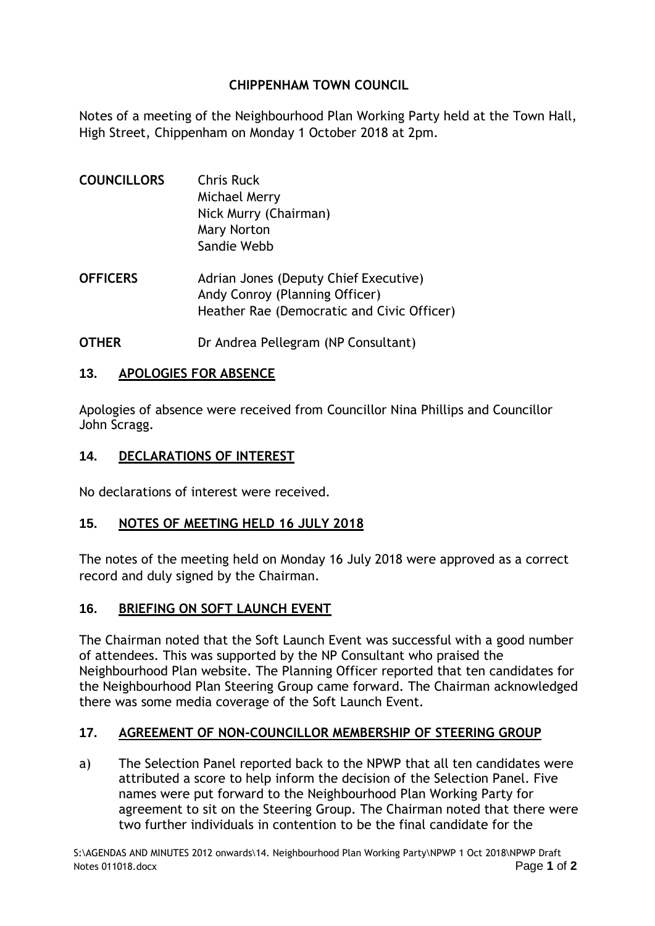# **CHIPPENHAM TOWN COUNCIL**

Notes of a meeting of the Neighbourhood Plan Working Party held at the Town Hall, High Street, Chippenham on Monday 1 October 2018 at 2pm.

| <b>COUNCILLORS</b> | <b>Chris Ruck</b><br>Michael Merry<br>Nick Murry (Chairman)<br>Mary Norton<br>Sandie Webb                             |
|--------------------|-----------------------------------------------------------------------------------------------------------------------|
| <b>OFFICERS</b>    | Adrian Jones (Deputy Chief Executive)<br>Andy Conroy (Planning Officer)<br>Heather Rae (Democratic and Civic Officer) |

**OTHER** Dr Andrea Pellegram (NP Consultant)

#### **13. APOLOGIES FOR ABSENCE**

Apologies of absence were received from Councillor Nina Phillips and Councillor John Scragg.

#### **14. DECLARATIONS OF INTEREST**

No declarations of interest were received.

# **15. NOTES OF MEETING HELD 16 JULY 2018**

The notes of the meeting held on Monday 16 July 2018 were approved as a correct record and duly signed by the Chairman.

# **16. BRIEFING ON SOFT LAUNCH EVENT**

The Chairman noted that the Soft Launch Event was successful with a good number of attendees. This was supported by the NP Consultant who praised the Neighbourhood Plan website. The Planning Officer reported that ten candidates for the Neighbourhood Plan Steering Group came forward. The Chairman acknowledged there was some media coverage of the Soft Launch Event.

# **17. AGREEMENT OF NON-COUNCILLOR MEMBERSHIP OF STEERING GROUP**

a) The Selection Panel reported back to the NPWP that all ten candidates were attributed a score to help inform the decision of the Selection Panel. Five names were put forward to the Neighbourhood Plan Working Party for agreement to sit on the Steering Group. The Chairman noted that there were two further individuals in contention to be the final candidate for the